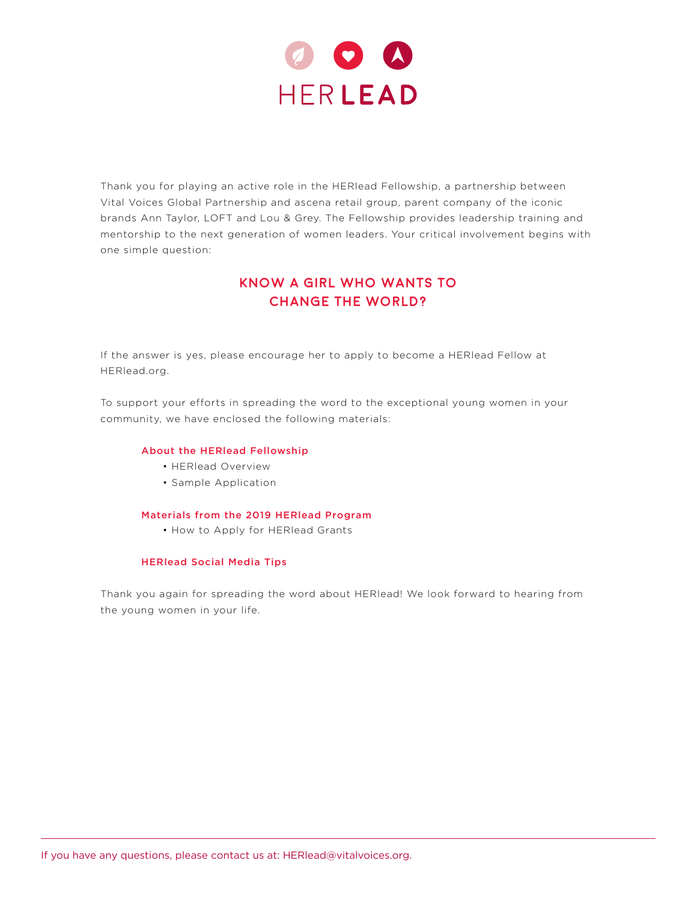

Thank you for playing an active role in the HERlead Fellowship, a partnership between Vital Voices Global Partnership and ascena retail group, parent company of the iconic brands Ann Taylor, LOFT and Lou & Grey. The Fellowship provides leadership training and mentorship to the next generation of women leaders. Your critical involvement begins with one simple question:

# **KNOW A GIRL WHO WANTS TO CHANGE THE WORLD?**

If the answer is yes, please encourage her to apply to become a HERlead Fellow at HERlead.org.

To support your efforts in spreading the word to the exceptional young women in your community, we have enclosed the following materials:

#### About the HERlead Fellowship

- HERlead Overview
- Sample Application

#### Materials from the 2019 HERlead Program

• How to Apply for HERlead Grants

#### HERlead Social Media Tips

Thank you again for spreading the word about HERlead! We look forward to hearing from the young women in your life.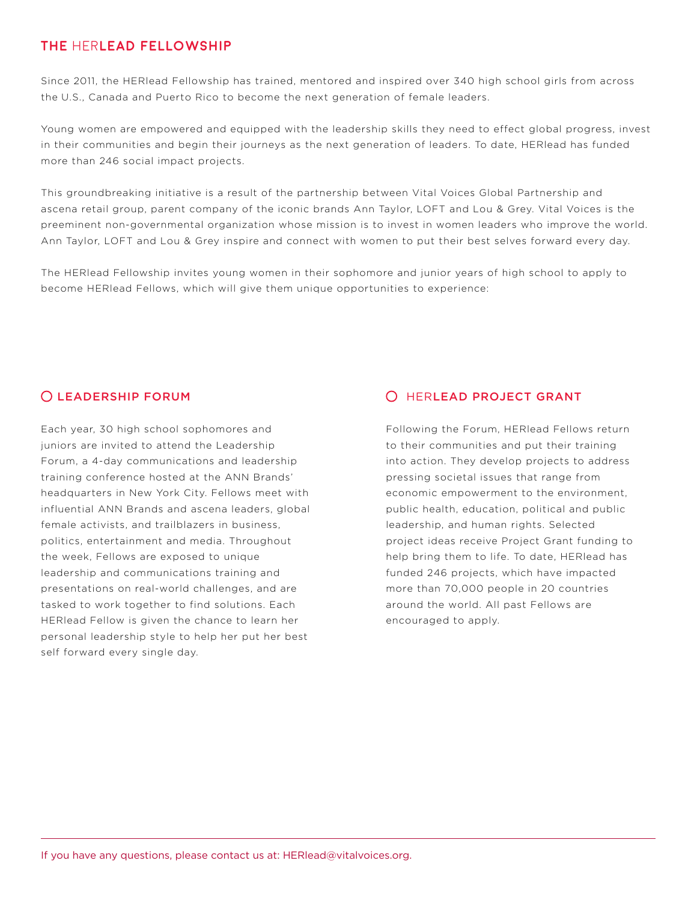# **THE** HER**LEAD FELLOWSHIP**

Since 2011, the HERlead Fellowship has trained, mentored and inspired over 340 high school girls from across the U.S., Canada and Puerto Rico to become the next generation of female leaders.

Young women are empowered and equipped with the leadership skills they need to effect global progress, invest in their communities and begin their journeys as the next generation of leaders. To date, HERlead has funded more than 246 social impact projects.

This groundbreaking initiative is a result of the partnership between Vital Voices Global Partnership and ascena retail group, parent company of the iconic brands Ann Taylor, LOFT and Lou & Grey. Vital Voices is the preeminent non-governmental organization whose mission is to invest in women leaders who improve the world. Ann Taylor, LOFT and Lou & Grey inspire and connect with women to put their best selves forward every day.

The HERlead Fellowship invites young women in their sophomore and junior years of high school to apply to become HERlead Fellows, which will give them unique opportunities to experience:

### LEADERSHIP FORUM

Each year, 30 high school sophomores and juniors are invited to attend the Leadership Forum, a 4-day communications and leadership training conference hosted at the ANN Brands' headquarters in New York City. Fellows meet with influential ANN Brands and ascena leaders, global female activists, and trailblazers in business, politics, entertainment and media. Throughout the week, Fellows are exposed to unique leadership and communications training and presentations on real-world challenges, and are tasked to work together to find solutions. Each HERlead Fellow is given the chance to learn her personal leadership style to help her put her best self forward every single day.

# HERLEAD PROJECT GRANT

Following the Forum, HERlead Fellows return to their communities and put their training into action. They develop projects to address pressing societal issues that range from economic empowerment to the environment, public health, education, political and public leadership, and human rights. Selected project ideas receive Project Grant funding to help bring them to life. To date, HERlead has funded 246 projects, which have impacted more than 70,000 people in 20 countries around the world. All past Fellows are encouraged to apply.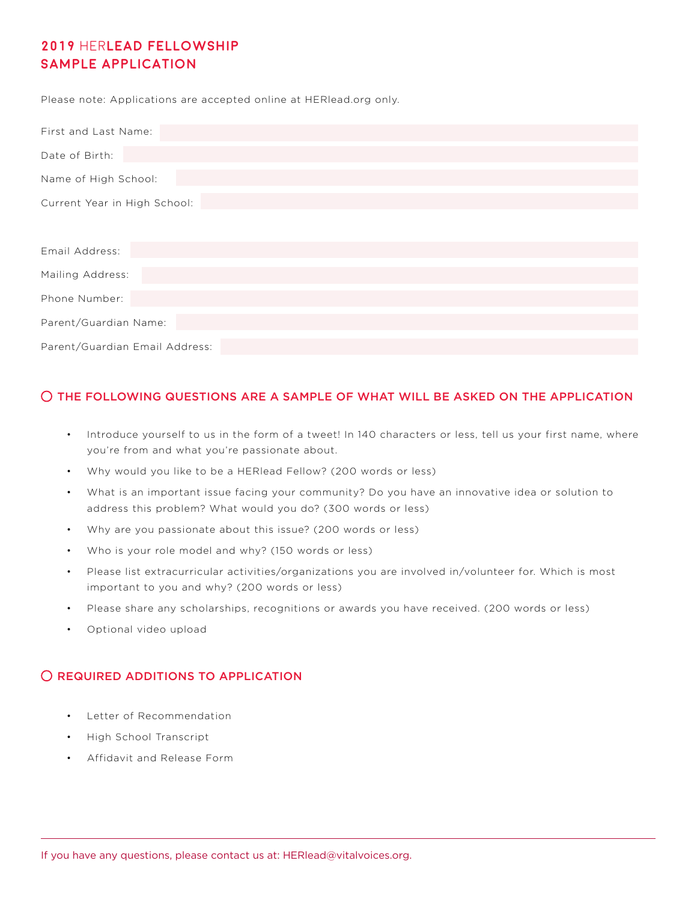# **2019** HER**LEAD FELLOWSHIP SAMPLE APPLICATION**

Please note: Applications are accepted online at HERlead.org only.

| First and Last Name:           |
|--------------------------------|
| Date of Birth:                 |
| Name of High School:           |
| Current Year in High School:   |
|                                |
| Email Address:                 |
| Mailing Address:               |
| Phone Number:                  |
| Parent/Guardian Name:          |
| Parent/Guardian Email Address: |

### THE FOLLOWING QUESTIONS ARE A SAMPLE OF WHAT WILL BE ASKED ON THE APPLICATION

- Introduce yourself to us in the form of a tweet! In 140 characters or less, tell us your first name, where you're from and what you're passionate about.
- Why would you like to be a HERlead Fellow? (200 words or less)
- What is an important issue facing your community? Do you have an innovative idea or solution to address this problem? What would you do? (300 words or less)
- Why are you passionate about this issue? (200 words or less)
- Who is your role model and why? (150 words or less)
- Please list extracurricular activities/organizations you are involved in/volunteer for. Which is most important to you and why? (200 words or less)
- Please share any scholarships, recognitions or awards you have received. (200 words or less)
- Optional video upload

### O REQUIRED ADDITIONS TO APPLICATION

- Letter of Recommendation
- High School Transcript
- Affidavit and Release Form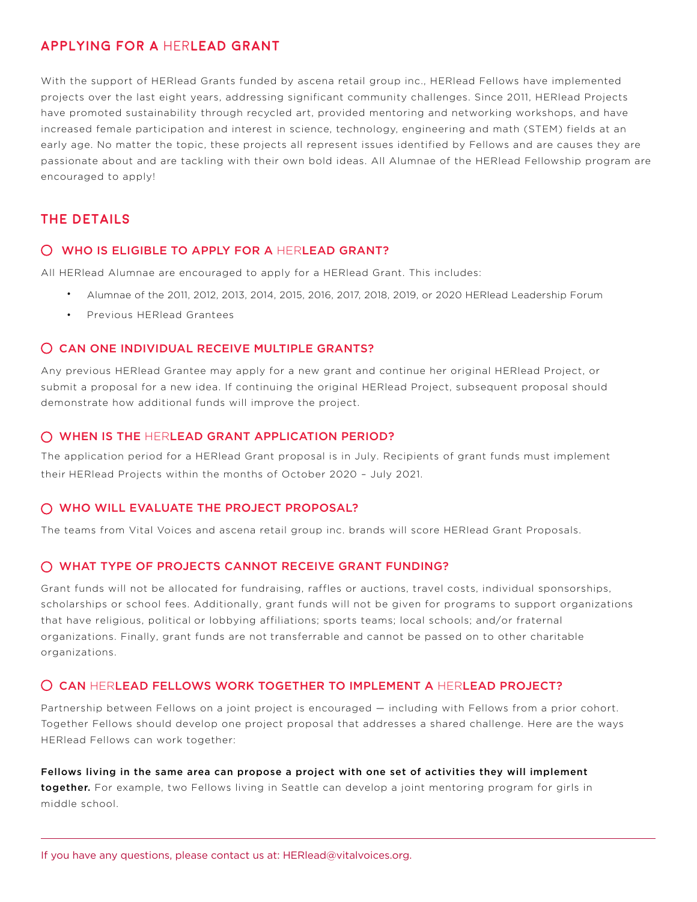## **APPLYING FOR A** HER**LEAD GRANT**

With the support of HERlead Grants funded by ascena retail group inc., HERlead Fellows have implemented projects over the last eight years, addressing significant community challenges. Since 2011, HERlead Projects have promoted sustainability through recycled art, provided mentoring and networking workshops, and have increased female participation and interest in science, technology, engineering and math (STEM) fields at an early age. No matter the topic, these projects all represent issues identified by Fellows and are causes they are passionate about and are tackling with their own bold ideas. All Alumnae of the HERlead Fellowship program are encouraged to apply!

# **THE DETAILS**

### WHO IS ELIGIBLE TO APPLY FOR A HERLEAD GRANT?

All HERlead Alumnae are encouraged to apply for a HERlead Grant. This includes:

- Alumnae of the 2011, 2012, 2013, 2014, 2015, 2016, 2017, 2018, 2019, or 2020 HERlead Leadership Forum
- Previous HERlead Grantees

### O CAN ONE INDIVIDUAL RECEIVE MULTIPLE GRANTS?

Any previous HERlead Grantee may apply for a new grant and continue her original HERlead Project, or submit a proposal for a new idea. If continuing the original HERlead Project, subsequent proposal should demonstrate how additional funds will improve the project.

#### WHEN IS THE HERLEAD GRANT APPLICATION PERIOD?

The application period for a HERlead Grant proposal is in July. Recipients of grant funds must implement their HERlead Projects within the months of October 2020 – July 2021.

### WHO WILL EVALUATE THE PROJECT PROPOSAL?

The teams from Vital Voices and ascena retail group inc. brands will score HERlead Grant Proposals.

### WHAT TYPE OF PROJECTS CANNOT RECEIVE GRANT FUNDING?

Grant funds will not be allocated for fundraising, raffles or auctions, travel costs, individual sponsorships, scholarships or school fees. Additionally, grant funds will not be given for programs to support organizations that have religious, political or lobbying affiliations; sports teams; local schools; and/or fraternal organizations. Finally, grant funds are not transferrable and cannot be passed on to other charitable organizations.

### O CAN HERLEAD FELLOWS WORK TOGETHER TO IMPLEMENT A HERLEAD PROJECT?

Partnership between Fellows on a joint project is encouraged — including with Fellows from a prior cohort. Together Fellows should develop one project proposal that addresses a shared challenge. Here are the ways HERlead Fellows can work together:

Fellows living in the same area can propose a project with one set of activities they will implement together. For example, two Fellows living in Seattle can develop a joint mentoring program for girls in middle school.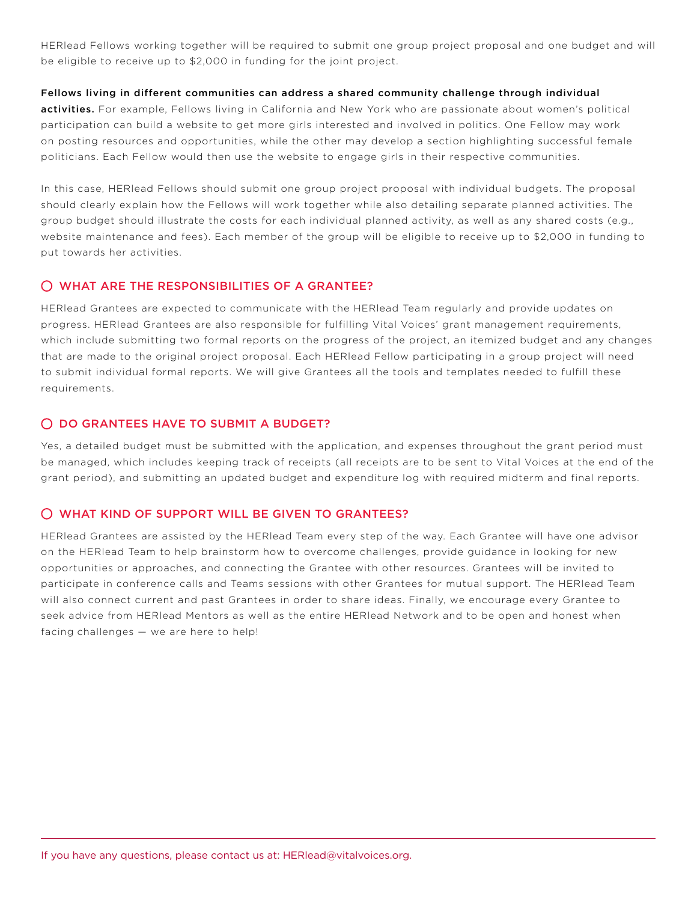HERlead Fellows working together will be required to submit one group project proposal and one budget and will be eligible to receive up to \$2,000 in funding for the joint project.

#### Fellows living in different communities can address a shared community challenge through individual

activities. For example, Fellows living in California and New York who are passionate about women's political participation can build a website to get more girls interested and involved in politics. One Fellow may work on posting resources and opportunities, while the other may develop a section highlighting successful female politicians. Each Fellow would then use the website to engage girls in their respective communities.

In this case, HERlead Fellows should submit one group project proposal with individual budgets. The proposal should clearly explain how the Fellows will work together while also detailing separate planned activities. The group budget should illustrate the costs for each individual planned activity, as well as any shared costs (e.g., website maintenance and fees). Each member of the group will be eligible to receive up to \$2,000 in funding to put towards her activities.

### WHAT ARE THE RESPONSIBILITIES OF A GRANTEE?

HERlead Grantees are expected to communicate with the HERlead Team regularly and provide updates on progress. HERlead Grantees are also responsible for fulfilling Vital Voices' grant management requirements, which include submitting two formal reports on the progress of the project, an itemized budget and any changes that are made to the original project proposal. Each HERlead Fellow participating in a group project will need to submit individual formal reports. We will give Grantees all the tools and templates needed to fulfill these requirements.

### O DO GRANTEES HAVE TO SUBMIT A BUDGET?

Yes, a detailed budget must be submitted with the application, and expenses throughout the grant period must be managed, which includes keeping track of receipts (all receipts are to be sent to Vital Voices at the end of the grant period), and submitting an updated budget and expenditure log with required midterm and final reports.

### WHAT KIND OF SUPPORT WILL BE GIVEN TO GRANTEES?

HERlead Grantees are assisted by the HERlead Team every step of the way. Each Grantee will have one advisor on the HERlead Team to help brainstorm how to overcome challenges, provide guidance in looking for new opportunities or approaches, and connecting the Grantee with other resources. Grantees will be invited to participate in conference calls and Teams sessions with other Grantees for mutual support. The HERlead Team will also connect current and past Grantees in order to share ideas. Finally, we encourage every Grantee to seek advice from HERlead Mentors as well as the entire HERlead Network and to be open and honest when facing challenges — we are here to help!